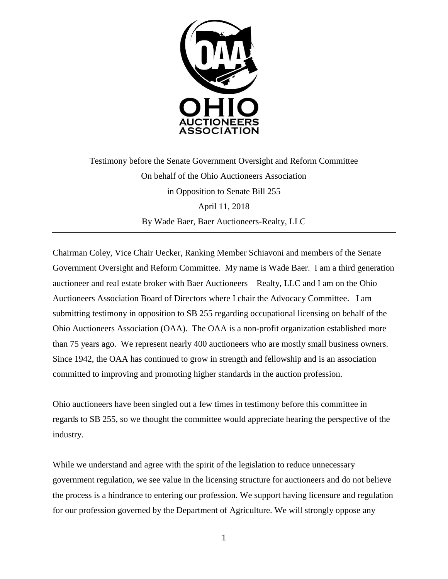

Testimony before the Senate Government Oversight and Reform Committee On behalf of the Ohio Auctioneers Association in Opposition to Senate Bill 255 April 11, 2018 By Wade Baer, Baer Auctioneers-Realty, LLC

Chairman Coley, Vice Chair Uecker, Ranking Member Schiavoni and members of the Senate Government Oversight and Reform Committee. My name is Wade Baer. I am a third generation auctioneer and real estate broker with Baer Auctioneers – Realty, LLC and I am on the Ohio Auctioneers Association Board of Directors where I chair the Advocacy Committee. I am submitting testimony in opposition to SB 255 regarding occupational licensing on behalf of the Ohio Auctioneers Association (OAA). The OAA is a non-profit organization established more than 75 years ago. We represent nearly 400 auctioneers who are mostly small business owners. Since 1942, the OAA has continued to grow in strength and fellowship and is an association committed to improving and promoting higher standards in the auction profession.

Ohio auctioneers have been singled out a few times in testimony before this committee in regards to SB 255, so we thought the committee would appreciate hearing the perspective of the industry.

While we understand and agree with the spirit of the legislation to reduce unnecessary government regulation, we see value in the licensing structure for auctioneers and do not believe the process is a hindrance to entering our profession. We support having licensure and regulation for our profession governed by the Department of Agriculture. We will strongly oppose any

1